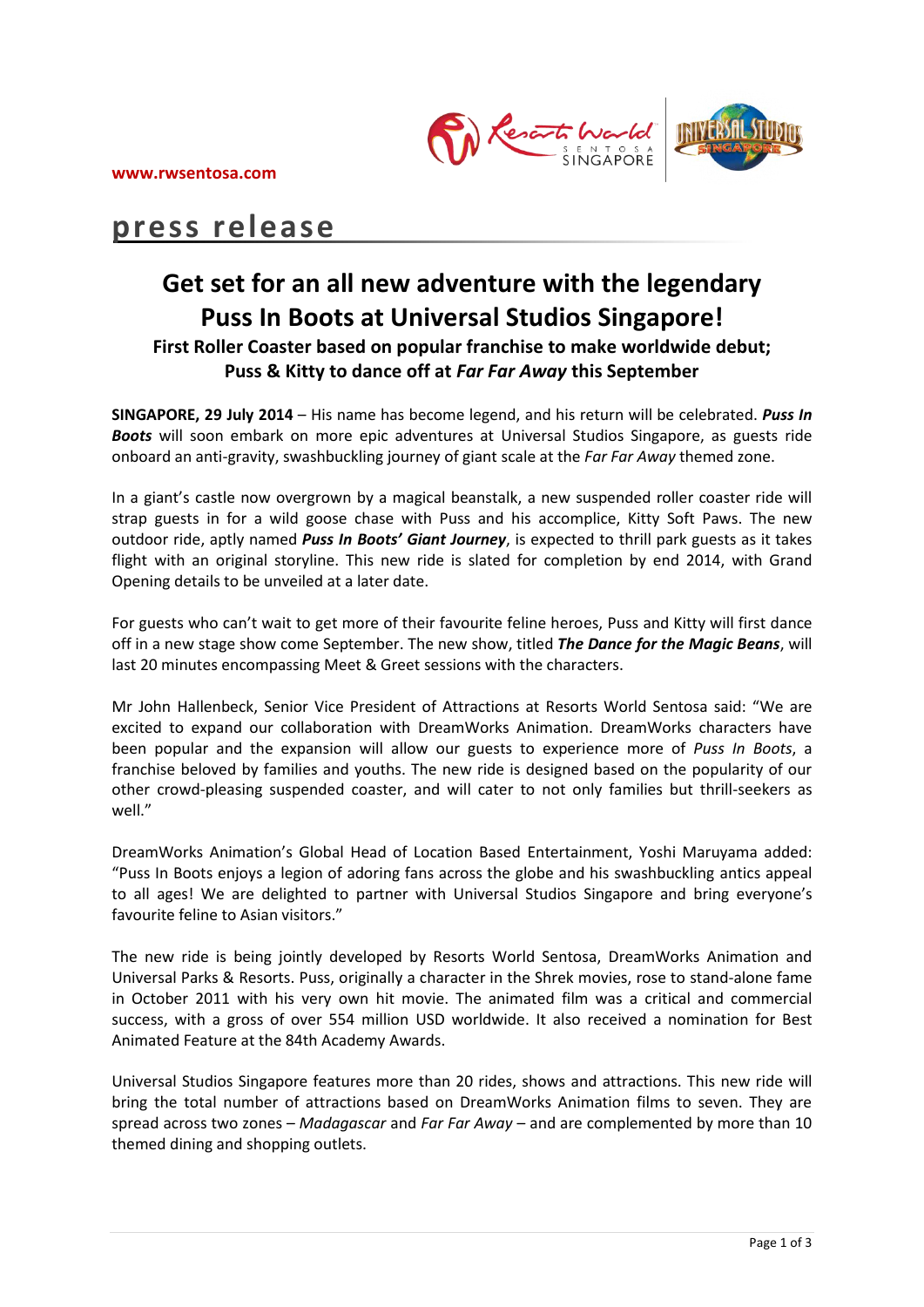

# **press release**

# **Get set for an all new adventure with the legendary Puss In Boots at Universal Studios Singapore! First Roller Coaster based on popular franchise to make worldwide debut; Puss & Kitty to dance off at** *Far Far Away* **this September**

**SINGAPORE, 29 July 2014** – His name has become legend, and his return will be celebrated. *Puss In Boots* will soon embark on more epic adventures at Universal Studios Singapore, as guests ride onboard an anti-gravity, swashbuckling journey of giant scale at the *Far Far Away* themed zone.

In a giant's castle now overgrown by a magical beanstalk, a new suspended roller coaster ride will strap guests in for a wild goose chase with Puss and his accomplice, Kitty Soft Paws. The new outdoor ride, aptly named *Puss In Boots' Giant Journey*, is expected to thrill park guests as it takes flight with an original storyline. This new ride is slated for completion by end 2014, with Grand Opening details to be unveiled at a later date.

For guests who can't wait to get more of their favourite feline heroes, Puss and Kitty will first dance off in a new stage show come September. The new show, titled *The Dance for the Magic Beans*, will last 20 minutes encompassing Meet & Greet sessions with the characters.

Mr John Hallenbeck, Senior Vice President of Attractions at Resorts World Sentosa said: "We are excited to expand our collaboration with DreamWorks Animation. DreamWorks characters have been popular and the expansion will allow our guests to experience more of *Puss In Boots*, a franchise beloved by families and youths. The new ride is designed based on the popularity of our other crowd-pleasing suspended coaster, and will cater to not only families but thrill-seekers as well<sup>"</sup>

DreamWorks Animation's Global Head of Location Based Entertainment, Yoshi Maruyama added: "Puss In Boots enjoys a legion of adoring fans across the globe and his swashbuckling antics appeal to all ages! We are delighted to partner with Universal Studios Singapore and bring everyone's favourite feline to Asian visitors."

The new ride is being jointly developed by Resorts World Sentosa, DreamWorks Animation and Universal Parks & Resorts. Puss, originally a character in the Shrek movies, rose to stand-alone fame in October 2011 with his very own hit movie. The animated film was a critical and commercial success, with a gross of over 554 million USD worldwide. It also received a nomination for Best Animated Feature at the 84th Academy Awards.

Universal Studios Singapore features more than 20 rides, shows and attractions. This new ride will bring the total number of attractions based on DreamWorks Animation films to seven. They are spread across two zones – *Madagascar* and *Far Far Away* – and are complemented by more than 10 themed dining and shopping outlets.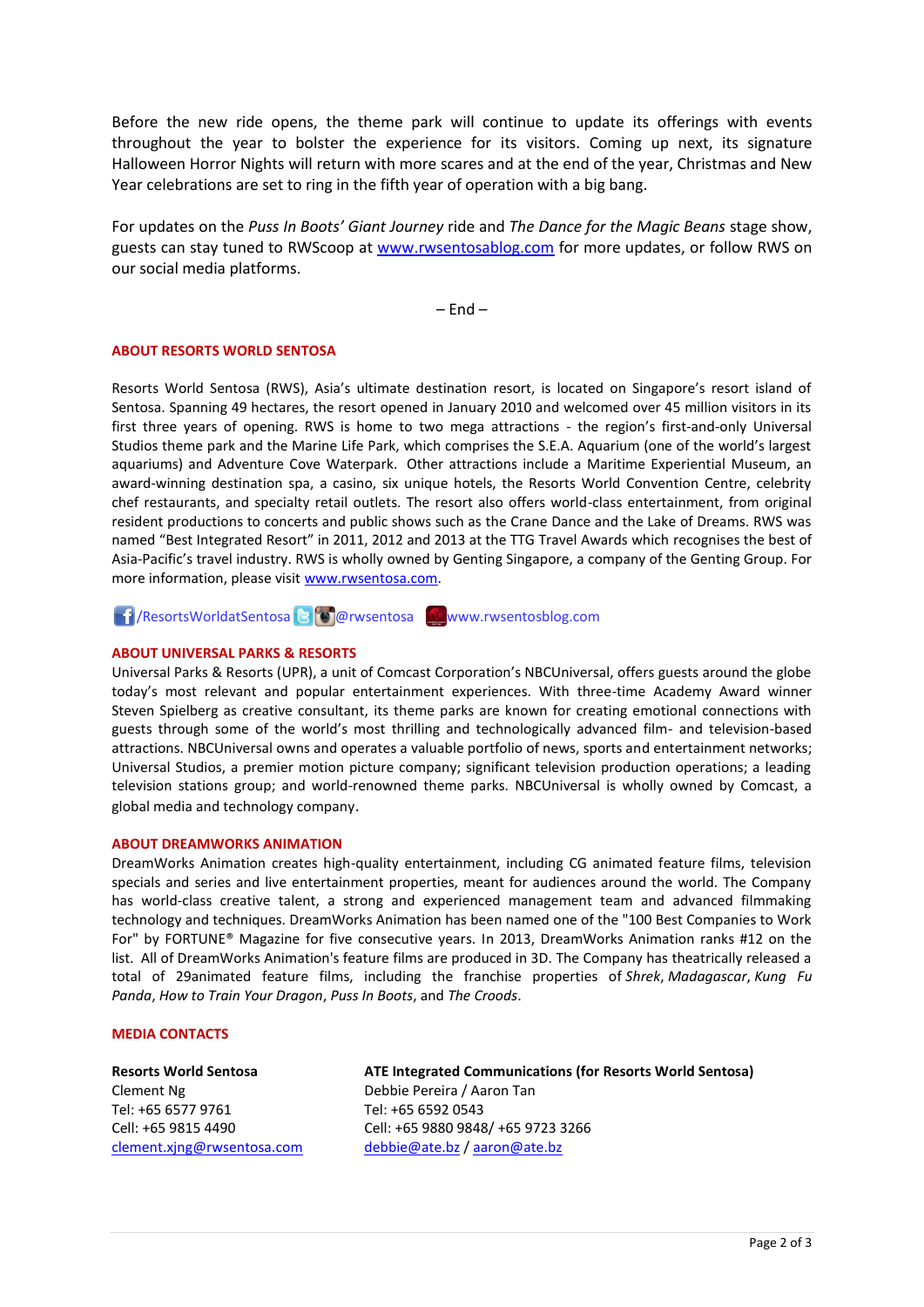Before the new ride opens, the theme park will continue to update its offerings with events throughout the year to bolster the experience for its visitors. Coming up next, its signature Halloween Horror Nights will return with more scares and at the end of the year, Christmas and New Year celebrations are set to ring in the fifth year of operation with a big bang.

For updates on the *Puss In Boots' Giant Journey* ride and *The Dance for the Magic Beans* stage show, guests can stay tuned to RWScoop at [www.rwsentosablog.com](http://www.rwsentosablog.com/) for more updates, or follow RWS on our social media platforms.

 $-$  End  $-$ 

## **ABOUT RESORTS WORLD SENTOSA**

Resorts World Sentosa (RWS), Asia's ultimate destination resort, is located on Singapore's resort island of Sentosa. Spanning 49 hectares, the resort opened in January 2010 and welcomed over 45 million visitors in its first three years of opening. RWS is home to two mega attractions - the region's first-and-only Universal Studios theme park and the Marine Life Park, which comprises the S.E.A. Aquarium (one of the world's largest aquariums) and Adventure Cove Waterpark. Other attractions include a Maritime Experiential Museum, an award-winning destination spa, a casino, six unique hotels, the Resorts World Convention Centre, celebrity chef restaurants, and specialty retail outlets. The resort also offers world-class entertainment, from original resident productions to concerts and public shows such as the Crane Dance and the Lake of Dreams. RWS was named "Best Integrated Resort" in 2011, 2012 and 2013 at the TTG Travel Awards which recognises the best of Asia-Pacific's travel industry. RWS is wholly owned by Genting Singapore, a company of the Genting Group. For more information, please visit [www.rwsentosa.com.](http://www.rwsentosa.com/)

**1** ResortsWorldatSentosa B **@** wsentosa Www.rwsentosblog.com

## **ABOUT UNIVERSAL PARKS & RESORTS**

Universal Parks & Resorts (UPR), a unit of Comcast Corporation's NBCUniversal, offers guests around the globe today's most relevant and popular entertainment experiences. With three-time Academy Award winner Steven Spielberg as creative consultant, its theme parks are known for creating emotional connections with guests through some of the world's most thrilling and technologically advanced film- and television-based attractions. NBCUniversal owns and operates a valuable portfolio of news, sports and entertainment networks; Universal Studios, a premier motion picture company; significant television production operations; a leading television stations group; and world-renowned theme parks. NBCUniversal is wholly owned by Comcast, a global media and technology company.

#### **ABOUT DREAMWORKS ANIMATION**

DreamWorks Animation creates high-quality entertainment, including CG animated feature films, television specials and series and live entertainment properties, meant for audiences around the world. The Company has world-class creative talent, a strong and experienced management team and advanced filmmaking technology and techniques. DreamWorks Animation has been named one of the "100 Best Companies to Work For" by FORTUNE® Magazine for five consecutive years. In 2013, DreamWorks Animation ranks #12 on the list. All of DreamWorks Animation's feature films are produced in 3D. The Company has theatrically released a total of 29animated feature films, including the franchise properties of *Shrek*, *Madagascar*, *Kung Fu Panda*, *How to Train Your Dragon*, *Puss In Boots*, and *The Croods*.

#### **MEDIA CONTACTS**

# **Resorts World Sentosa** Clement Ng Tel: +65 6577 9761 Cell: +65 9815 4490 [clement.xjng@rwsentosa.com](mailto:clement.xjng@rwsentosa.com)

# **ATE Integrated Communications (for Resorts World Sentosa)**

Debbie Pereira / Aaron Tan Tel: +65 6592 0543 Cell: +65 9880 9848/ +65 9723 3266 [debbie@ate.bz](mailto:debbie@ate.bz) / [aaron@ate.bz](mailto:aaron@ate.bz)